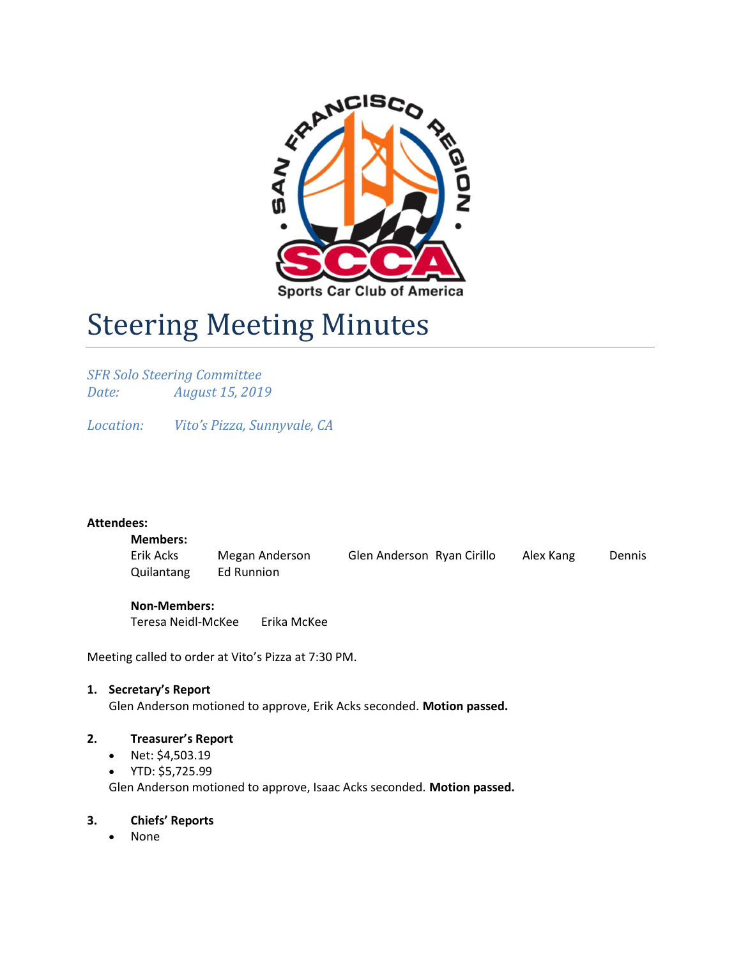

# **Steering Meeting Minutes**

SFR Solo Steering Committee Date: August 15, 2019

Location: Vito's Pizza, Sunnyvale, CA

#### Attendees:

# Members:

Erik Acks Megan Anderson Glen Anderson Ryan Cirillo Alex Kang Dennis Quilantang Ed Runnion

#### Non-Members:

Teresa Neidl-McKee Erika McKee

Meeting called to order at Vito's Pizza at 7:30 PM.

#### 1. Secretary's Report

Glen Anderson motioned to approve, Erik Acks seconded. Motion passed.

#### 2. Treasurer's Report

- Net: \$4,503.19
- YTD: \$5,725.99

Glen Anderson motioned to approve, Isaac Acks seconded. Motion passed.

#### 3. Chiefs' Reports

None